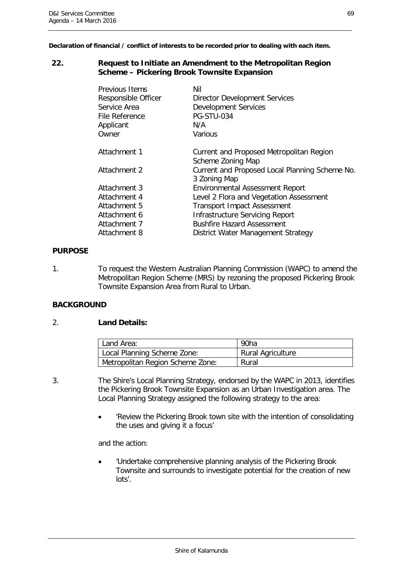**Declaration of financial / conflict of interests to be recorded prior to dealing with each item.**

### **22. Request to Initiate an Amendment to the Metropolitan Region Scheme – Pickering Brook Townsite Expansion**

| Previous Items<br>Responsible Officer<br>Service Area<br>File Reference<br>Applicant<br>Owner | Nil<br><b>Director Development Services</b><br><b>Development Services</b><br><b>PG-STU-034</b><br>N/A<br>Various |
|-----------------------------------------------------------------------------------------------|-------------------------------------------------------------------------------------------------------------------|
| Attachment 1                                                                                  | Current and Proposed Metropolitan Region<br>Scheme Zoning Map                                                     |
| Attachment 2                                                                                  | Current and Proposed Local Planning Scheme No.<br>3 Zoning Map                                                    |
| Attachment 3                                                                                  | <b>Environmental Assessment Report</b>                                                                            |
| Attachment 4                                                                                  | Level 2 Flora and Vegetation Assessment                                                                           |
| Attachment 5                                                                                  | <b>Transport Impact Assessment</b>                                                                                |
| Attachment 6                                                                                  | Infrastructure Servicing Report                                                                                   |
| Attachment 7                                                                                  | <b>Bushfire Hazard Assessment</b>                                                                                 |
| Attachment 8                                                                                  | District Water Management Strategy                                                                                |

### **PURPOSE**

1. To request the Western Australian Planning Commission (WAPC) to amend the Metropolitan Region Scheme (MRS) by rezoning the proposed Pickering Brook Townsite Expansion Area from Rural to Urban.

## **BACKGROUND**

## 2. **Land Details:**

|                                  | Land Area:                  | 90ha                     |  |  |
|----------------------------------|-----------------------------|--------------------------|--|--|
|                                  | Local Planning Scheme Zone: | <b>Rural Agriculture</b> |  |  |
| Metropolitan Region Scheme Zone: |                             | Rural                    |  |  |

3. The Shire's Local Planning Strategy, endorsed by the WAPC in 2013, identifies the Pickering Brook Townsite Expansion as an Urban Investigation area. The Local Planning Strategy assigned the following strategy to the area:

> • 'Review the Pickering Brook town site with the intention of consolidating the uses and giving it a focus'

and the action:

• 'Undertake comprehensive planning analysis of the Pickering Brook Townsite and surrounds to investigate potential for the creation of new lots'.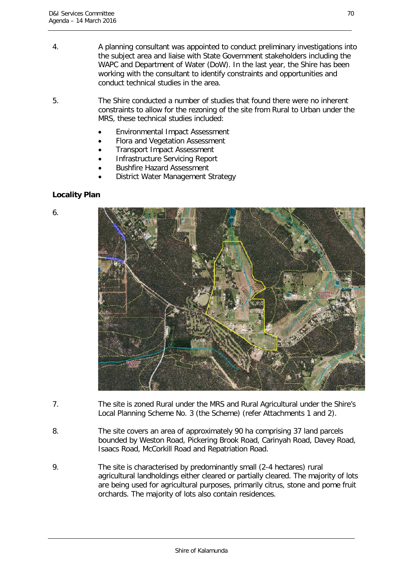- 4. A planning consultant was appointed to conduct preliminary investigations into the subject area and liaise with State Government stakeholders including the WAPC and Department of Water (DoW). In the last year, the Shire has been working with the consultant to identify constraints and opportunities and conduct technical studies in the area.
- 5. The Shire conducted a number of studies that found there were no inherent constraints to allow for the rezoning of the site from Rural to Urban under the MRS, these technical studies included:
	- Environmental Impact Assessment
	- Flora and Vegetation Assessment
	- Transport Impact Assessment
	- Infrastructure Servicing Report
	- Bushfire Hazard Assessment
	- District Water Management Strategy

# **Locality Plan**

6.



- 7. The site is zoned Rural under the MRS and Rural Agricultural under the Shire's Local Planning Scheme No. 3 (the Scheme) (refer Attachments 1 and 2).
- 8. The site covers an area of approximately 90 ha comprising 37 land parcels bounded by Weston Road, Pickering Brook Road, Carinyah Road, Davey Road, Isaacs Road, McCorkill Road and Repatriation Road.
- 9. The site is characterised by predominantly small (2-4 hectares) rural agricultural landholdings either cleared or partially cleared. The majority of lots are being used for agricultural purposes, primarily citrus, stone and pome fruit orchards. The majority of lots also contain residences.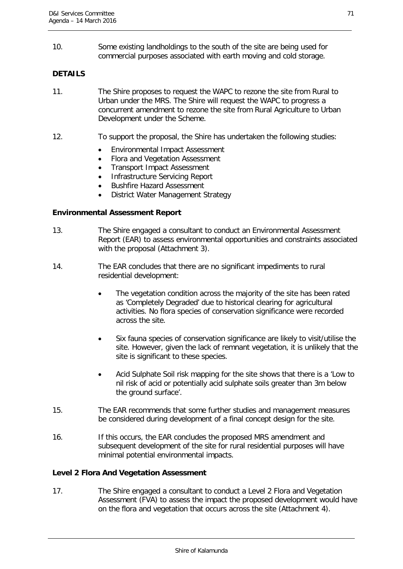10. Some existing landholdings to the south of the site are being used for commercial purposes associated with earth moving and cold storage.

# **DETAILS**

- 11. The Shire proposes to request the WAPC to rezone the site from Rural to Urban under the MRS. The Shire will request the WAPC to progress a concurrent amendment to rezone the site from Rural Agriculture to Urban Development under the Scheme.
- 12. To support the proposal, the Shire has undertaken the following studies:
	- Environmental Impact Assessment
	- Flora and Vegetation Assessment
	- Transport Impact Assessment
	- Infrastructure Servicing Report
	- Bushfire Hazard Assessment
	- District Water Management Strategy

## **Environmental Assessment Report**

- 13. The Shire engaged a consultant to conduct an Environmental Assessment Report (EAR) to assess environmental opportunities and constraints associated with the proposal (Attachment 3).
- 14. The EAR concludes that there are no significant impediments to rural residential development:
	- The vegetation condition across the majority of the site has been rated as 'Completely Degraded' due to historical clearing for agricultural activities. No flora species of conservation significance were recorded across the site.
	- Six fauna species of conservation significance are likely to visit/utilise the site. However, given the lack of remnant vegetation, it is unlikely that the site is significant to these species.
	- Acid Sulphate Soil risk mapping for the site shows that there is a 'Low to nil risk of acid or potentially acid sulphate soils greater than 3m below the ground surface'.
- 15. The EAR recommends that some further studies and management measures be considered during development of a final concept design for the site.
- 16. If this occurs, the EAR concludes the proposed MRS amendment and subsequent development of the site for rural residential purposes will have minimal potential environmental impacts.

### **Level 2 Flora And Vegetation Assessment**

17. The Shire engaged a consultant to conduct a Level 2 Flora and Vegetation Assessment (FVA) to assess the impact the proposed development would have on the flora and vegetation that occurs across the site (Attachment 4).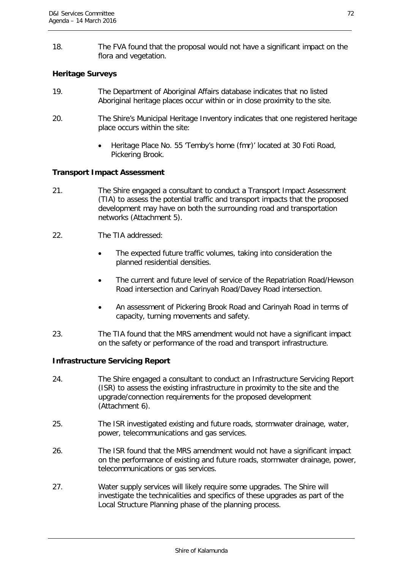18. The FVA found that the proposal would not have a significant impact on the flora and vegetation.

# **Heritage Surveys**

- 19. The Department of Aboriginal Affairs database indicates that no listed Aboriginal heritage places occur within or in close proximity to the site.
- 20. The Shire's Municipal Heritage Inventory indicates that one registered heritage place occurs within the site:
	- Heritage Place No. 55 'Temby's home (fmr)' located at 30 Foti Road, Pickering Brook.

# **Transport Impact Assessment**

- 21. The Shire engaged a consultant to conduct a Transport Impact Assessment (TIA) to assess the potential traffic and transport impacts that the proposed development may have on both the surrounding road and transportation networks (Attachment 5).
- 22. The TIA addressed:
	- The expected future traffic volumes, taking into consideration the planned residential densities.
	- The current and future level of service of the Repatriation Road/Hewson Road intersection and Carinyah Road/Davey Road intersection.
	- An assessment of Pickering Brook Road and Carinyah Road in terms of capacity, turning movements and safety.
- 23. The TIA found that the MRS amendment would not have a significant impact on the safety or performance of the road and transport infrastructure.

# **Infrastructure Servicing Report**

- 24. The Shire engaged a consultant to conduct an Infrastructure Servicing Report (ISR) to assess the existing infrastructure in proximity to the site and the upgrade/connection requirements for the proposed development (Attachment 6).
- 25. The ISR investigated existing and future roads, stormwater drainage, water, power, telecommunications and gas services.
- 26. The ISR found that the MRS amendment would not have a significant impact on the performance of existing and future roads, stormwater drainage, power, telecommunications or gas services.
- 27. Water supply services will likely require some upgrades. The Shire will investigate the technicalities and specifics of these upgrades as part of the Local Structure Planning phase of the planning process.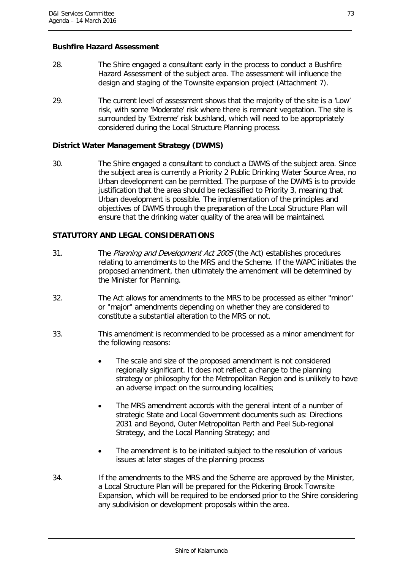## **Bushfire Hazard Assessment**

- 28. The Shire engaged a consultant early in the process to conduct a Bushfire Hazard Assessment of the subject area. The assessment will influence the design and staging of the Townsite expansion project (Attachment 7).
- 29. The current level of assessment shows that the majority of the site is a 'Low' risk, with some 'Moderate' risk where there is remnant vegetation. The site is surrounded by 'Extreme' risk bushland, which will need to be appropriately considered during the Local Structure Planning process.

## **District Water Management Strategy (DWMS)**

30. The Shire engaged a consultant to conduct a DWMS of the subject area. Since the subject area is currently a Priority 2 Public Drinking Water Source Area, no Urban development can be permitted. The purpose of the DWMS is to provide justification that the area should be reclassified to Priority 3, meaning that Urban development is possible. The implementation of the principles and objectives of DWMS through the preparation of the Local Structure Plan will ensure that the drinking water quality of the area will be maintained.

# **STATUTORY AND LEGAL CONSIDERATIONS**

- 31. The Planning and Development Act 2005 (the Act) establishes procedures relating to amendments to the MRS and the Scheme. If the WAPC initiates the proposed amendment, then ultimately the amendment will be determined by the Minister for Planning.
- 32. The Act allows for amendments to the MRS to be processed as either "minor" or "major" amendments depending on whether they are considered to constitute a substantial alteration to the MRS or not.
- 33. This amendment is recommended to be processed as a minor amendment for the following reasons:
	- The scale and size of the proposed amendment is not considered regionally significant. It does not reflect a change to the planning strategy or philosophy for the Metropolitan Region and is unlikely to have an adverse impact on the surrounding localities;
	- The MRS amendment accords with the general intent of a number of strategic State and Local Government documents such as: Directions 2031 and Beyond, Outer Metropolitan Perth and Peel Sub-regional Strategy, and the Local Planning Strategy; and
	- The amendment is to be initiated subject to the resolution of various issues at later stages of the planning process
- 34. If the amendments to the MRS and the Scheme are approved by the Minister, a Local Structure Plan will be prepared for the Pickering Brook Townsite Expansion, which will be required to be endorsed prior to the Shire considering any subdivision or development proposals within the area.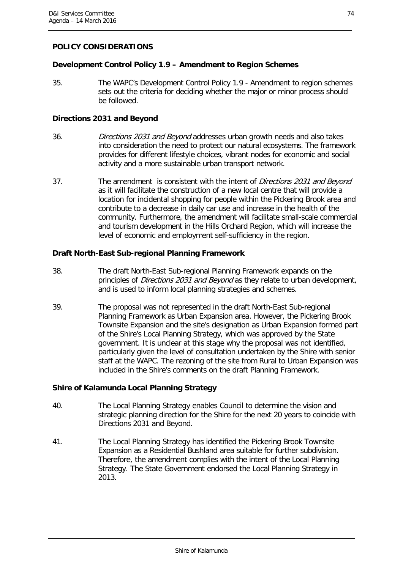# **POLICY CONSIDERATIONS**

## **Development Control Policy 1.9 – Amendment to Region Schemes**

35. The WAPC's Development Control Policy 1.9 - Amendment to region schemes sets out the criteria for deciding whether the major or minor process should be followed.

### **Directions 2031 and Beyond**

- 36. Directions 2031 and Beyond addresses urban growth needs and also takes into consideration the need to protect our natural ecosystems. The framework provides for different lifestyle choices, vibrant nodes for economic and social activity and a more sustainable urban transport network.
- 37. The amendment is consistent with the intent of *Directions 2031 and Bevond* as it will facilitate the construction of a new local centre that will provide a location for incidental shopping for people within the Pickering Brook area and contribute to a decrease in daily car use and increase in the health of the community. Furthermore, the amendment will facilitate small-scale commercial and tourism development in the Hills Orchard Region, which will increase the level of economic and employment self-sufficiency in the region.

## **Draft North-East Sub-regional Planning Framework**

- 38. The draft North-East Sub-regional Planning Framework expands on the principles of *Directions 2031 and Beyond* as they relate to urban development, and is used to inform local planning strategies and schemes.
- 39. The proposal was not represented in the draft North-East Sub-regional Planning Framework as Urban Expansion area. However, the Pickering Brook Townsite Expansion and the site's designation as Urban Expansion formed part of the Shire's Local Planning Strategy, which was approved by the State government. It is unclear at this stage why the proposal was not identified, particularly given the level of consultation undertaken by the Shire with senior staff at the WAPC. The rezoning of the site from Rural to Urban Expansion was included in the Shire's comments on the draft Planning Framework.

## **Shire of Kalamunda Local Planning Strategy**

- 40. The Local Planning Strategy enables Council to determine the vision and strategic planning direction for the Shire for the next 20 years to coincide with Directions 2031 and Beyond.
- 41. The Local Planning Strategy has identified the Pickering Brook Townsite Expansion as a Residential Bushland area suitable for further subdivision. Therefore, the amendment complies with the intent of the Local Planning Strategy. The State Government endorsed the Local Planning Strategy in 2013.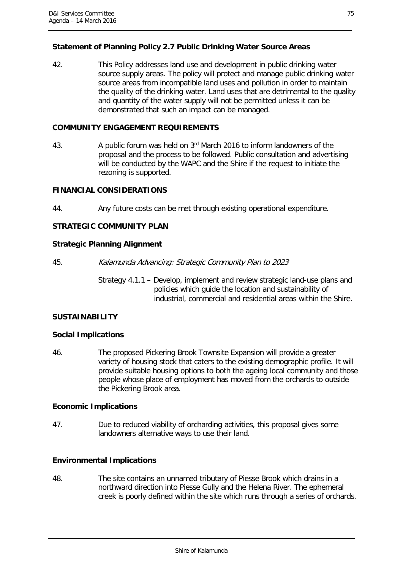# **Statement of Planning Policy 2.7 Public Drinking Water Source Areas**

42. This Policy addresses land use and development in public drinking water source supply areas. The policy will protect and manage public drinking water source areas from incompatible land uses and pollution in order to maintain the quality of the drinking water. Land uses that are detrimental to the quality and quantity of the water supply will not be permitted unless it can be demonstrated that such an impact can be managed.

# **COMMUNITY ENGAGEMENT REQUIREMENTS**

43. A public forum was held on 3<sup>rd</sup> March 2016 to inform landowners of the proposal and the process to be followed. Public consultation and advertising will be conducted by the WAPC and the Shire if the request to initiate the rezoning is supported.

# **FINANCIAL CONSIDERATIONS**

44. Any future costs can be met through existing operational expenditure.

# **STRATEGIC COMMUNITY PLAN**

### **Strategic Planning Alignment**

45. Kalamunda Advancing: Strategic Community Plan to 2023

Strategy 4.1.1 – Develop, implement and review strategic land-use plans and policies which guide the location and sustainability of industrial, commercial and residential areas within the Shire.

# **SUSTAINABILITY**

### **Social Implications**

46. The proposed Pickering Brook Townsite Expansion will provide a greater variety of housing stock that caters to the existing demographic profile. It will provide suitable housing options to both the ageing local community and those people whose place of employment has moved from the orchards to outside the Pickering Brook area.

### **Economic Implications**

47. Due to reduced viability of orcharding activities, this proposal gives some landowners alternative ways to use their land.

# **Environmental Implications**

48. The site contains an unnamed tributary of Piesse Brook which drains in a northward direction into Piesse Gully and the Helena River. The ephemeral creek is poorly defined within the site which runs through a series of orchards.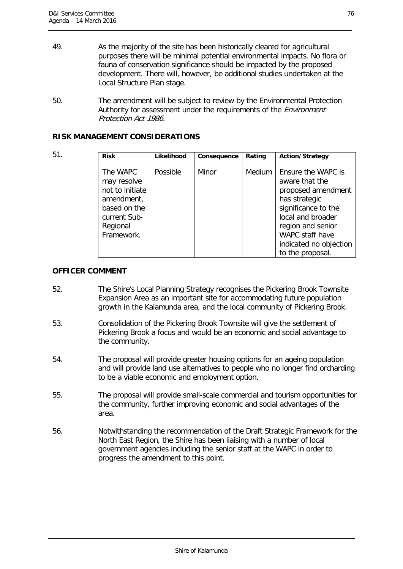- 49. As the majority of the site has been historically cleared for agricultural purposes there will be minimal potential environmental impacts. No flora or fauna of conservation significance should be impacted by the proposed development. There will, however, be additional studies undertaken at the Local Structure Plan stage.
- 50. The amendment will be subject to review by the Environmental Protection Authority for assessment under the requirements of the *Environment* Protection Act 1986.

## **RISK MANAGEMENT CONSIDERATIONS**

| 51. | <b>Risk</b>                                                                                                        | Likelihood | Consequence | Rating        | Action/Strategy                                                                                                                                                                                               |
|-----|--------------------------------------------------------------------------------------------------------------------|------------|-------------|---------------|---------------------------------------------------------------------------------------------------------------------------------------------------------------------------------------------------------------|
|     | The WAPC<br>may resolve<br>not to initiate<br>amendment,<br>based on the<br>current Sub-<br>Regional<br>Framework. | Possible   | Minor       | <b>Medium</b> | Ensure the WAPC is<br>aware that the<br>proposed amendment<br>has strategic<br>significance to the<br>local and broader<br>region and senior<br>WAPC staff have<br>indicated no objection<br>to the proposal. |

### **OFFICER COMMENT**

- 52. The Shire's Local Planning Strategy recognises the Pickering Brook Townsite Expansion Area as an important site for accommodating future population growth in the Kalamunda area, and the local community of Pickering Brook.
- 53. Consolidation of the Pickering Brook Townsite will give the settlement of Pickering Brook a focus and would be an economic and social advantage to the community.
- 54. The proposal will provide greater housing options for an ageing population and will provide land use alternatives to people who no longer find orcharding to be a viable economic and employment option.
- 55. The proposal will provide small-scale commercial and tourism opportunities for the community, further improving economic and social advantages of the area.
- 56. Notwithstanding the recommendation of the Draft Strategic Framework for the North East Region, the Shire has been liaising with a number of local government agencies including the senior staff at the WAPC in order to progress the amendment to this point.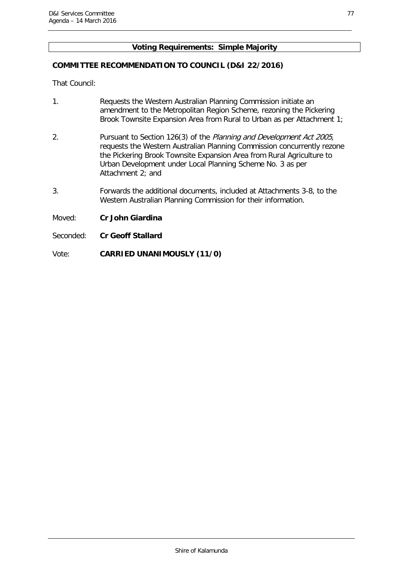# **Voting Requirements: Simple Majority**

## **COMMITTEE RECOMMENDATION TO COUNCIL (D&I 22/2016)**

That Council:

- 1. Requests the Western Australian Planning Commission initiate an amendment to the Metropolitan Region Scheme, rezoning the Pickering Brook Townsite Expansion Area from Rural to Urban as per Attachment 1;
- 2. Pursuant to Section 126(3) of the Planning and Development Act 2005, requests the Western Australian Planning Commission concurrently rezone the Pickering Brook Townsite Expansion Area from Rural Agriculture to Urban Development under Local Planning Scheme No. 3 as per Attachment 2; and
- 3. Forwards the additional documents, included at Attachments 3-8, to the Western Australian Planning Commission for their information.

Moved: **Cr John Giardina**

Seconded: **Cr Geoff Stallard**

Vote: **CARRIED UNANIMOUSLY (11/0)**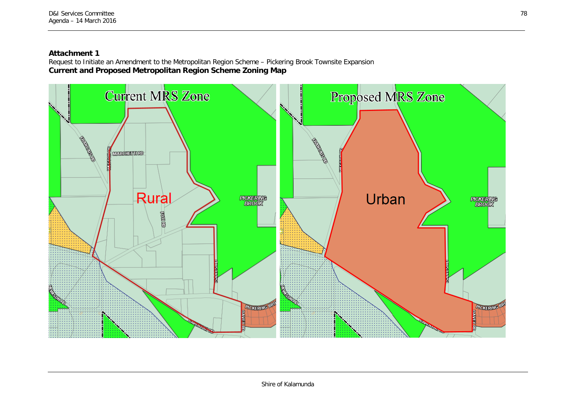# **Attachment 1**

Request to Initiate an Amendment to the Metropolitan Region Scheme – Pickering Brook Townsite Expansion **Current and Proposed Metropolitan Region Scheme Zoning Map**